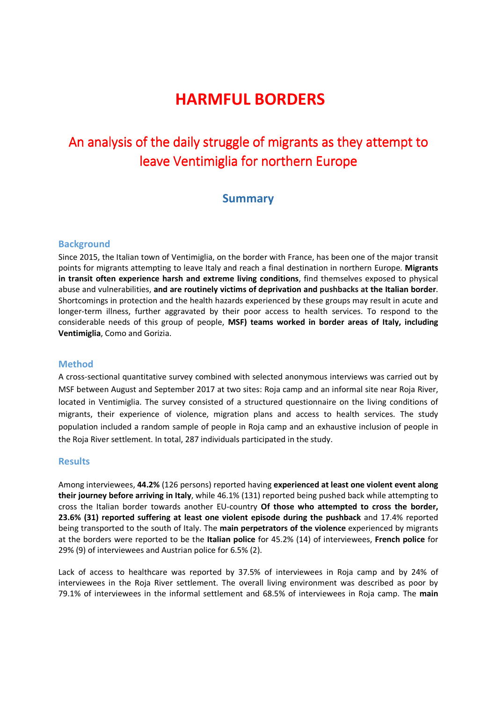# **HARMFUL BORDERS**

## An analysis of the daily struggle of migrants as they attempt to leave Ventimiglia for northern Europe

### **Summary**

#### **Background**

Since 2015, the Italian town of Ventimiglia, on the border with France, has been one of the major transit points for migrants attempting to leave Italy and reach a final destination in northern Europe. **Migrants in transit often experience harsh and extreme living conditions**, find themselves exposed to physical abuse and vulnerabilities, **and are routinely victims of deprivation and pushbacks at the Italian border**. Shortcomings in protection and the health hazards experienced by these groups may result in acute and longer-term illness, further aggravated by their poor access to health services. To respond to the considerable needs of this group of people, **MSF) teams worked in border areas of Italy, including Ventimiglia**, Como and Gorizia.

#### **Method**

A cross-sectional quantitative survey combined with selected anonymous interviews was carried out by MSF between August and September 2017 at two sites: Roja camp and an informal site near Roja River, located in Ventimiglia. The survey consisted of a structured questionnaire on the living conditions of migrants, their experience of violence, migration plans and access to health services. The study population included a random sample of people in Roja camp and an exhaustive inclusion of people in the Roja River settlement. In total, 287 individuals participated in the study.

#### **Results**

Among interviewees, **44.2%** (126 persons) reported having **experienced at least one violent event along their journey before arriving in Italy**, while 46.1% (131) reported being pushed back while attempting to cross the Italian border towards another EU-country **Of those who attempted to cross the border, 23.6% (31) reported suffering at least one violent episode during the pushback** and 17.4% reported being transported to the south of Italy. The **main perpetrators of the violence** experienced by migrants at the borders were reported to be the **Italian police** for 45.2% (14) of interviewees, **French police** for 29% (9) of interviewees and Austrian police for 6.5% (2).

Lack of access to healthcare was reported by 37.5% of interviewees in Roja camp and by 24% of interviewees in the Roja River settlement. The overall living environment was described as poor by 79.1% of interviewees in the informal settlement and 68.5% of interviewees in Roja camp. The **main**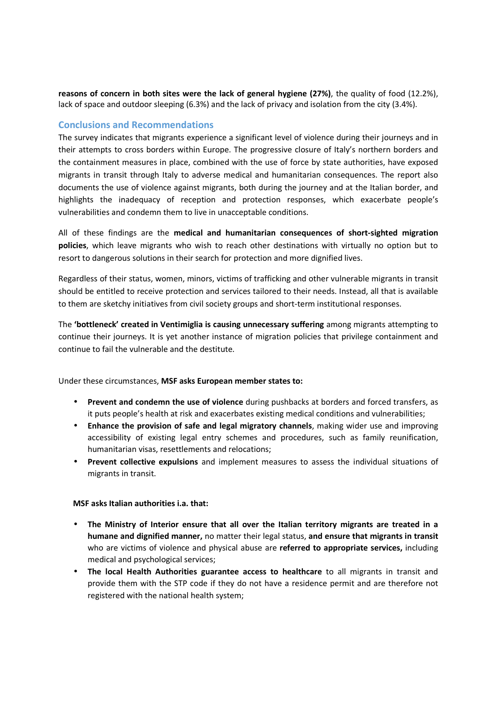**reasons of concern in both sites were the lack of general hygiene (27%)**, the quality of food (12.2%), lack of space and outdoor sleeping (6.3%) and the lack of privacy and isolation from the city (3.4%).

#### **Conclusions and Recommendations**

The survey indicates that migrants experience a significant level of violence during their journeys and in their attempts to cross borders within Europe. The progressive closure of Italy's northern borders and the containment measures in place, combined with the use of force by state authorities, have exposed migrants in transit through Italy to adverse medical and humanitarian consequences. The report also documents the use of violence against migrants, both during the journey and at the Italian border, and highlights the inadequacy of reception and protection responses, which exacerbate people's vulnerabilities and condemn them to live in unacceptable conditions.

All of these findings are the **medical and humanitarian consequences of short-sighted migration policies**, which leave migrants who wish to reach other destinations with virtually no option but to resort to dangerous solutions in their search for protection and more dignified lives.

Regardless of their status, women, minors, victims of trafficking and other vulnerable migrants in transit should be entitled to receive protection and services tailored to their needs. Instead, all that is available to them are sketchy initiatives from civil society groups and short-term institutional responses.

The **'bottleneck' created in Ventimiglia is causing unnecessary suffering** among migrants attempting to continue their journeys. It is yet another instance of migration policies that privilege containment and continue to fail the vulnerable and the destitute.

Under these circumstances, **MSF asks European member states to:**

- **Prevent and condemn the use of violence** during pushbacks at borders and forced transfers, as it puts people's health at risk and exacerbates existing medical conditions and vulnerabilities;
- **Enhance the provision of safe and legal migratory channels**, making wider use and improving accessibility of existing legal entry schemes and procedures, such as family reunification, humanitarian visas, resettlements and relocations;
- **Prevent collective expulsions** and implement measures to assess the individual situations of migrants in transit.

#### **MSF asks Italian authorities i.a. that:**

- **The Ministry of Interior ensure that all over the Italian territory migrants are treated in a humane and dignified manner,** no matter their legal status, **and ensure that migrants in transit**  who are victims of violence and physical abuse are **referred to appropriate services,** including medical and psychological services;
- **The local Health Authorities guarantee access to healthcare** to all migrants in transit and provide them with the STP code if they do not have a residence permit and are therefore not registered with the national health system;